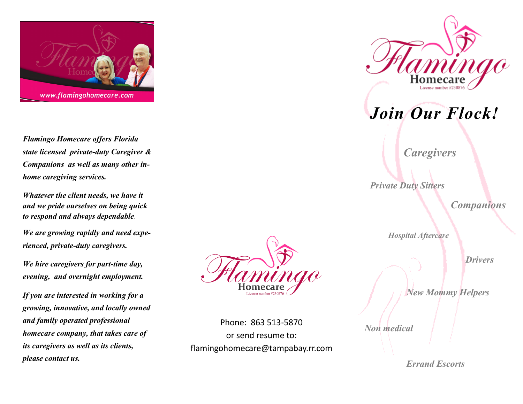

*Flamingo Homecare offers Florida state licensed private-duty Caregiver & Companions as well as many other inhome caregiving services.* 

*Whatever the client needs, we have it and we pride ourselves on being quick to respond and always dependable*.

*We are growing rapidly and need experienced, private-duty caregivers.* 

*We hire caregivers for part-time day, evening, and overnight employment.*

*If you are interested in working for a growing, innovative, and locally owned and family operated professional homecare company, that takes care of its caregivers as well as its clients, please contact us.* 



Phone: 863 513-5870 or send resume to: flamingohomecare@tampabay.rr.com



*Join Our Flock!*

*Caregivers*

*Private Duty Sitters*

*Companions*

*Hospital Aftercare*

*Drivers*

*New Mommy Helpers*

*Non medical*

 *Errand Escorts*